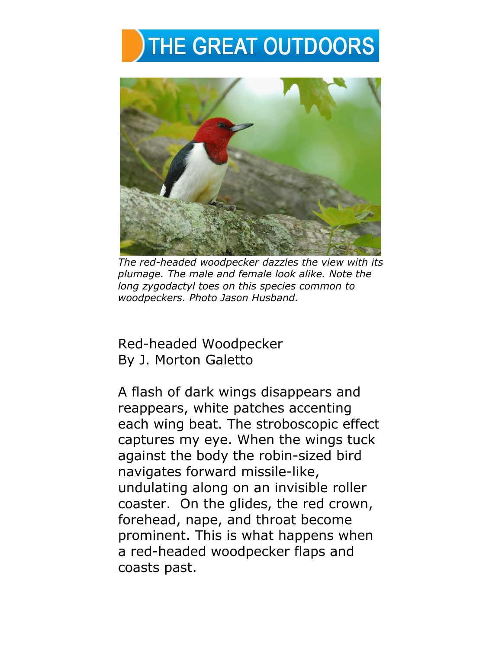## THE GREAT OUTDOORS



*The red-headed woodpecker dazzles the view with its plumage. The male and female look alike. Note the long zygodactyl toes on this species common to woodpeckers. Photo Jason Husband.*

## Red-headed Woodpecker By J. Morton Galetto

A flash of dark wings disappears and reappears, white patches accenting each wing beat. The stroboscopic effect captures my eye. When the wings tuck against the body the robin-sized bird navigates forward missile-like, undulating along on an invisible roller coaster. On the glides, the red crown, forehead, nape, and throat become prominent. This is what happens when a red-headed woodpecker flaps and coasts past.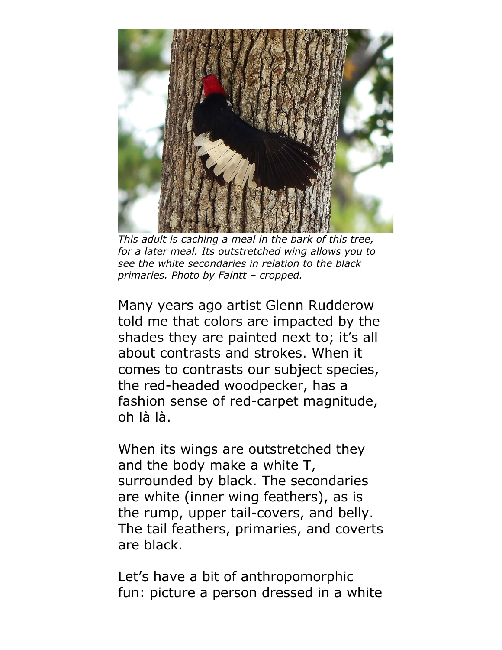

*This adult is caching a meal in the bark of this tree, for a later meal. Its outstretched wing allows you to see the white secondaries in relation to the black primaries. Photo by Faintt – cropped.*

Many years ago artist Glenn Rudderow told me that colors are impacted by the shades they are painted next to; it's all about contrasts and strokes. When it comes to contrasts our subject species, the red-headed woodpecker, has a fashion sense of red-carpet magnitude, oh là là.

When its wings are outstretched they and the body make a white T, surrounded by black. The secondaries are white (inner wing feathers), as is the rump, upper tail-covers, and belly. The tail feathers, primaries, and coverts are black.

Let's have a bit of anthropomorphic fun: picture a person dressed in a white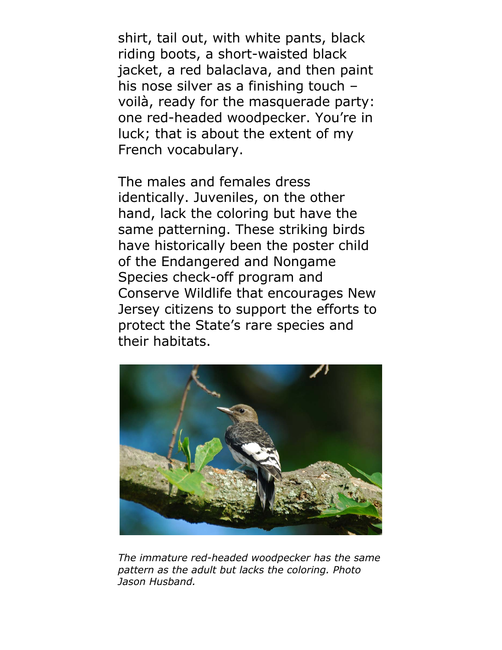shirt, tail out, with white pants, black riding boots, a short-waisted black jacket, a red balaclava, and then paint his nose silver as a finishing touch – voilà, ready for the masquerade party: one red-headed woodpecker. You're in luck; that is about the extent of my French vocabulary.

The males and females dress identically. Juveniles, on the other hand, lack the coloring but have the same patterning. These striking birds have historically been the poster child of the Endangered and Nongame Species check-off program and Conserve Wildlife that encourages New Jersey citizens to support the efforts to protect the State's rare species and their habitats.



*The immature red-headed woodpecker has the same pattern as the adult but lacks the coloring. Photo Jason Husband.*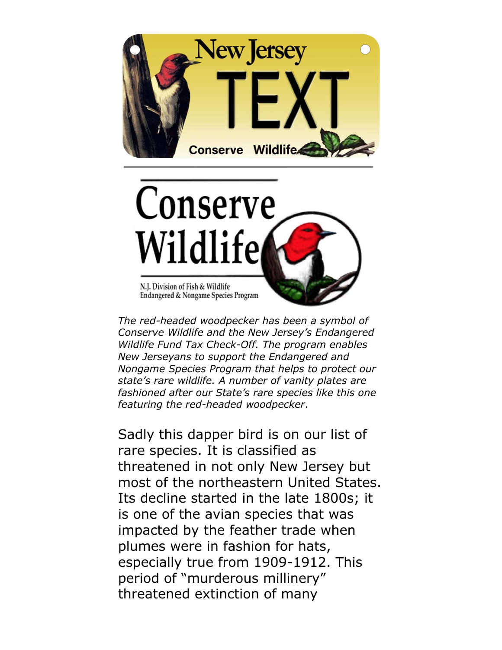



*The red-headed woodpecker has been a symbol of Conserve Wildlife and the New Jersey's Endangered Wildlife Fund Tax Check-Off. The program enables New Jerseyans to support the Endangered and Nongame Species Program that helps to protect our state's rare wildlife. A number of vanity plates are fashioned after our State's rare species like this one featuring the red-headed woodpecker*.

Sadly this dapper bird is on our list of rare species. It is classified as threatened in not only New Jersey but most of the northeastern United States. Its decline started in the late 1800s; it is one of the avian species that was impacted by the feather trade when plumes were in fashion for hats, especially true from 1909-1912. This period of "murderous millinery" threatened extinction of many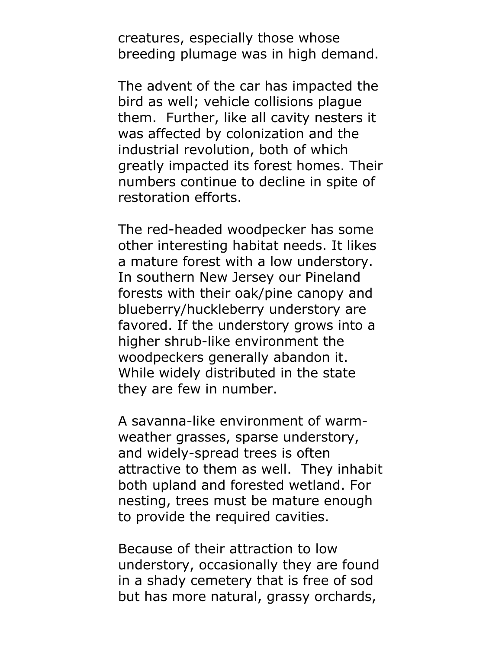creatures, especially those whose breeding plumage was in high demand.

The advent of the car has impacted the bird as well; vehicle collisions plague them. Further, like all cavity nesters it was affected by colonization and the industrial revolution, both of which greatly impacted its forest homes. Their numbers continue to decline in spite of restoration efforts.

The red-headed woodpecker has some other interesting habitat needs. It likes a mature forest with a low understory. In southern New Jersey our Pineland forests with their oak/pine canopy and blueberry/huckleberry understory are favored. If the understory grows into a higher shrub-like environment the woodpeckers generally abandon it. While widely distributed in the state they are few in number.

A savanna-like environment of warmweather grasses, sparse understory, and widely-spread trees is often attractive to them as well. They inhabit both upland and forested wetland. For nesting, trees must be mature enough to provide the required cavities.

Because of their attraction to low understory, occasionally they are found in a shady cemetery that is free of sod but has more natural, grassy orchards,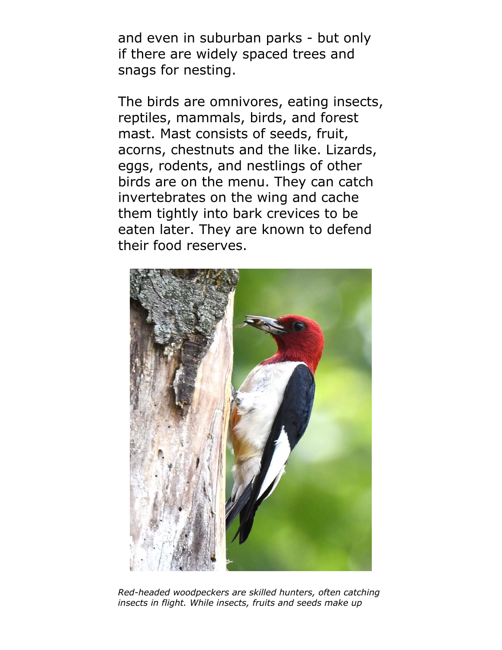and even in suburban parks - but only if there are widely spaced trees and snags for nesting.

The birds are omnivores, eating insects, reptiles, mammals, birds, and forest mast. Mast consists of seeds, fruit, acorns, chestnuts and the like. Lizards, eggs, rodents, and nestlings of other birds are on the menu. They can catch invertebrates on the wing and cache them tightly into bark crevices to be eaten later. They are known to defend their food reserves.



*Red-headed woodpeckers are skilled hunters, often catching insects in flight. While insects, fruits and seeds make up*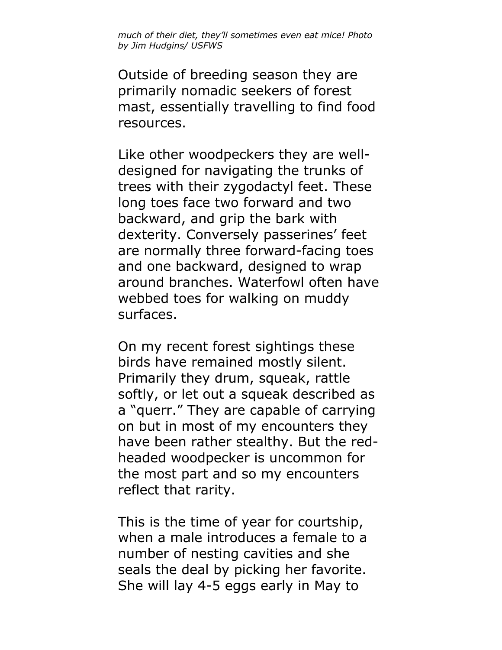*much of their diet, they'll sometimes even eat mice! Photo by Jim Hudgins/ USFWS*

Outside of breeding season they are primarily nomadic seekers of forest mast, essentially travelling to find food resources.

Like other woodpeckers they are welldesigned for navigating the trunks of trees with their zygodactyl feet. These long toes face two forward and two backward, and grip the bark with dexterity. Conversely passerines' feet are normally three forward-facing toes and one backward, designed to wrap around branches. Waterfowl often have webbed toes for walking on muddy surfaces.

On my recent forest sightings these birds have remained mostly silent. Primarily they drum, squeak, rattle softly, or let out a squeak described as a "querr." They are capable of carrying on but in most of my encounters they have been rather stealthy. But the redheaded woodpecker is uncommon for the most part and so my encounters reflect that rarity.

This is the time of year for courtship, when a male introduces a female to a number of nesting cavities and she seals the deal by picking her favorite. She will lay 4-5 eggs early in May to